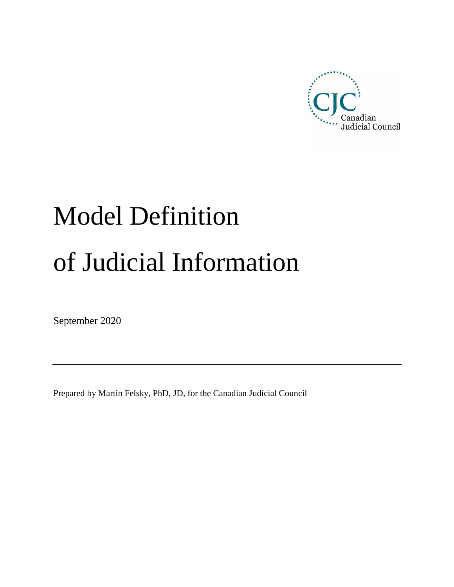

# Model Definition of Judicial Information

September 2020

Prepared by Martin Felsky, PhD, JD, for the Canadian Judicial Council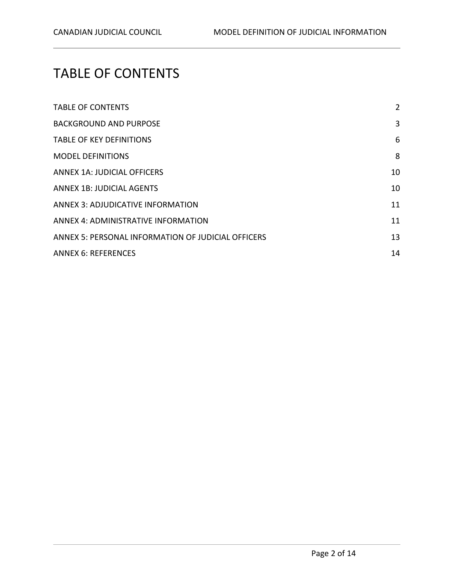# <span id="page-1-0"></span>TABLE OF CONTENTS

| <b>TABLE OF CONTENTS</b>                           | $\overline{2}$ |
|----------------------------------------------------|----------------|
| <b>BACKGROUND AND PURPOSE</b>                      | 3              |
| <b>TABLE OF KEY DEFINITIONS</b>                    | 6              |
| <b>MODEL DEFINITIONS</b>                           | 8              |
| ANNEX 1A: JUDICIAL OFFICERS                        | 10             |
| ANNEX 1B: JUDICIAL AGENTS                          | 10             |
| ANNEX 3: ADJUDICATIVE INFORMATION                  | 11             |
| ANNEX 4: ADMINISTRATIVE INFORMATION                | 11             |
| ANNEX 5: PERSONAL INFORMATION OF JUDICIAL OFFICERS | 13             |
| <b>ANNEX 6: REFERENCES</b>                         | 14             |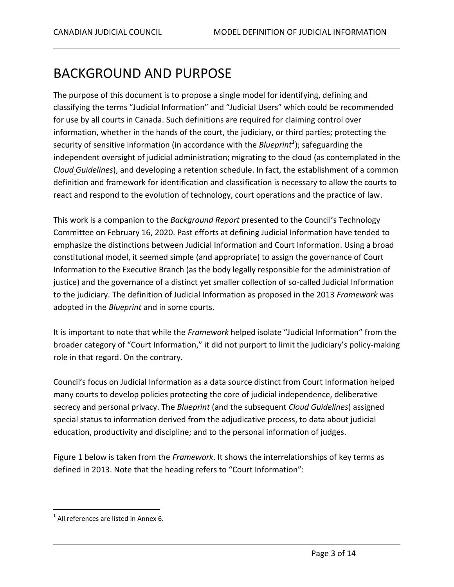#### <span id="page-2-0"></span>BACKGROUND AND PURPOSE

The purpose of this document is to propose a single model for identifying, defining and classifying the terms "Judicial Information" and "Judicial Users" which could be recommended for use by all courts in Canada. Such definitions are required for claiming control over information, whether in the hands of the court, the judiciary, or third parties; protecting the security of sensitive information (in accordance with the *Blueprint<sup>1</sup>* ); safeguarding the independent oversight of judicial administration; migrating to the cloud (as contemplated in the *Cloud Guidelines*), and developing a retention schedule. In fact, the establishment of a common definition and framework for identification and classification is necessary to allow the courts to react and respond to the evolution of technology, court operations and the practice of law.

This work is a companion to the *Background Report* presented to the Council's Technology Committee on February 16, 2020. Past efforts at defining Judicial Information have tended to emphasize the distinctions between Judicial Information and Court Information. Using a broad constitutional model, it seemed simple (and appropriate) to assign the governance of Court Information to the Executive Branch (as the body legally responsible for the administration of justice) and the governance of a distinct yet smaller collection of so-called Judicial Information to the judiciary. The definition of Judicial Information as proposed in the 2013 *Framework* was adopted in the *Blueprint* and in some courts.

It is important to note that while the *Framework* helped isolate "Judicial Information" from the broader category of "Court Information," it did not purport to limit the judiciary's policy-making role in that regard. On the contrary.

Council's focus on Judicial Information as a data source distinct from Court Information helped many courts to develop policies protecting the core of judicial independence, deliberative secrecy and personal privacy. The *Blueprint* (and the subsequent *Cloud Guidelines*) assigned special status to information derived from the adjudicative process, to data about judicial education, productivity and discipline; and to the personal information of judges.

Figure 1 below is taken from the *Framework*. It shows the interrelationships of key terms as defined in 2013. Note that the heading refers to "Court Information":

 $\overline{a}$ 

 $<sup>1</sup>$  All references are listed in Annex 6.</sup>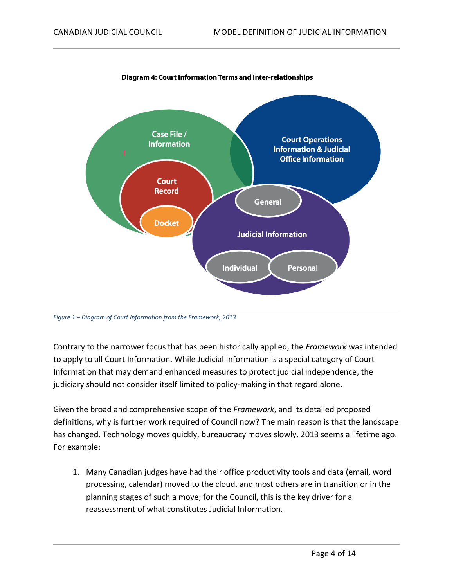

Diagram 4: Court Information Terms and Inter-relationships

*Figure 1 – Diagram of Court Information from the Framework, 2013*

Contrary to the narrower focus that has been historically applied, the *Framework* was intended to apply to all Court Information. While Judicial Information is a special category of Court Information that may demand enhanced measures to protect judicial independence, the judiciary should not consider itself limited to policy-making in that regard alone.

Given the broad and comprehensive scope of the *Framework*, and its detailed proposed definitions, why is further work required of Council now? The main reason is that the landscape has changed. Technology moves quickly, bureaucracy moves slowly. 2013 seems a lifetime ago. For example:

1. Many Canadian judges have had their office productivity tools and data (email, word processing, calendar) moved to the cloud, and most others are in transition or in the planning stages of such a move; for the Council, this is the key driver for a reassessment of what constitutes Judicial Information.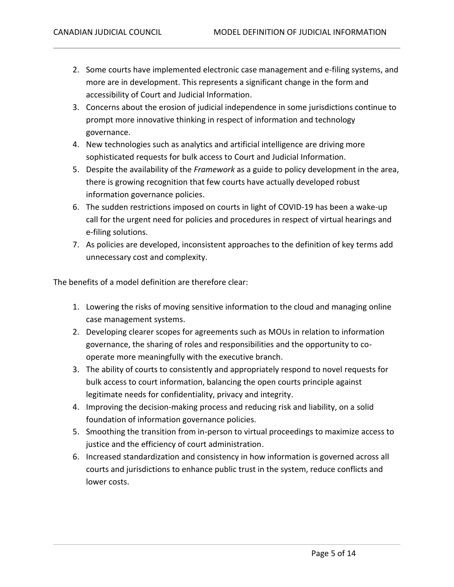- 2. Some courts have implemented electronic case management and e-filing systems, and more are in development. This represents a significant change in the form and accessibility of Court and Judicial Information.
- 3. Concerns about the erosion of judicial independence in some jurisdictions continue to prompt more innovative thinking in respect of information and technology governance.
- 4. New technologies such as analytics and artificial intelligence are driving more sophisticated requests for bulk access to Court and Judicial Information.
- 5. Despite the availability of the *Framework* as a guide to policy development in the area, there is growing recognition that few courts have actually developed robust information governance policies.
- 6. The sudden restrictions imposed on courts in light of COVID-19 has been a wake-up call for the urgent need for policies and procedures in respect of virtual hearings and e-filing solutions.
- 7. As policies are developed, inconsistent approaches to the definition of key terms add unnecessary cost and complexity.

The benefits of a model definition are therefore clear:

- 1. Lowering the risks of moving sensitive information to the cloud and managing online case management systems.
- 2. Developing clearer scopes for agreements such as MOUs in relation to information governance, the sharing of roles and responsibilities and the opportunity to cooperate more meaningfully with the executive branch.
- 3. The ability of courts to consistently and appropriately respond to novel requests for bulk access to court information, balancing the open courts principle against legitimate needs for confidentiality, privacy and integrity.
- 4. Improving the decision-making process and reducing risk and liability, on a solid foundation of information governance policies.
- 5. Smoothing the transition from in-person to virtual proceedings to maximize access to justice and the efficiency of court administration.
- 6. Increased standardization and consistency in how information is governed across all courts and jurisdictions to enhance public trust in the system, reduce conflicts and lower costs.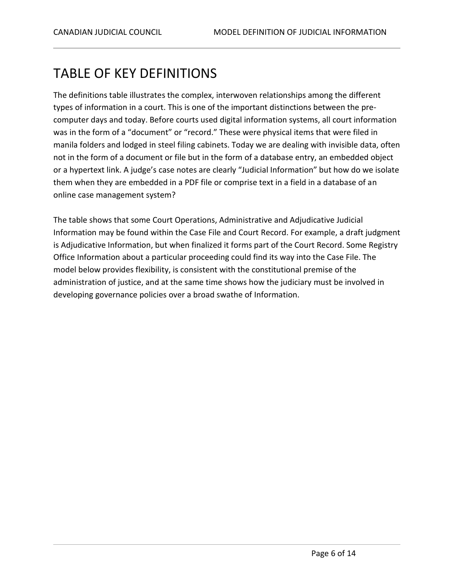# <span id="page-5-0"></span>TABLE OF KEY DEFINITIONS

The definitions table illustrates the complex, interwoven relationships among the different types of information in a court. This is one of the important distinctions between the precomputer days and today. Before courts used digital information systems, all court information was in the form of a "document" or "record." These were physical items that were filed in manila folders and lodged in steel filing cabinets. Today we are dealing with invisible data, often not in the form of a document or file but in the form of a database entry, an embedded object or a hypertext link. A judge's case notes are clearly "Judicial Information" but how do we isolate them when they are embedded in a PDF file or comprise text in a field in a database of an online case management system?

The table shows that some Court Operations, Administrative and Adjudicative Judicial Information may be found within the Case File and Court Record. For example, a draft judgment is Adjudicative Information, but when finalized it forms part of the Court Record. Some Registry Office Information about a particular proceeding could find its way into the Case File. The model below provides flexibility, is consistent with the constitutional premise of the administration of justice, and at the same time shows how the judiciary must be involved in developing governance policies over a broad swathe of Information.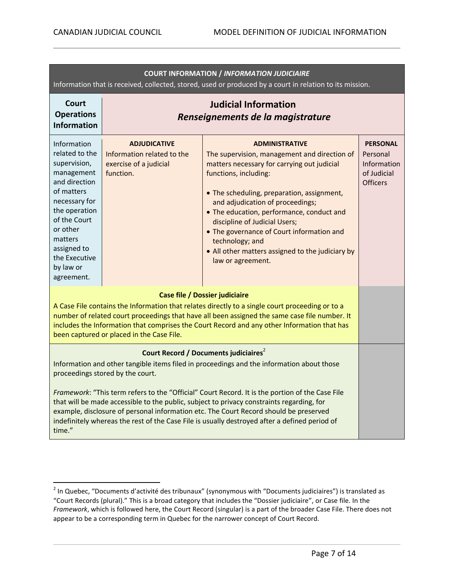| <b>COURT INFORMATION / INFORMATION JUDICIAIRE</b><br>Information that is received, collected, stored, used or produced by a court in relation to its mission.                                                                                                                                                                                                                                                                                                                                                                                                                          |                                                                                          |                                                                                                                                                                                                                                                                                                                                                                                                                                                        |                                                                                     |
|----------------------------------------------------------------------------------------------------------------------------------------------------------------------------------------------------------------------------------------------------------------------------------------------------------------------------------------------------------------------------------------------------------------------------------------------------------------------------------------------------------------------------------------------------------------------------------------|------------------------------------------------------------------------------------------|--------------------------------------------------------------------------------------------------------------------------------------------------------------------------------------------------------------------------------------------------------------------------------------------------------------------------------------------------------------------------------------------------------------------------------------------------------|-------------------------------------------------------------------------------------|
| Court<br><b>Operations</b><br><b>Information</b>                                                                                                                                                                                                                                                                                                                                                                                                                                                                                                                                       | <b>Judicial Information</b><br>Renseignements de la magistrature                         |                                                                                                                                                                                                                                                                                                                                                                                                                                                        |                                                                                     |
| Information<br>related to the<br>supervision,<br>management<br>and direction<br>of matters<br>necessary for<br>the operation<br>of the Court<br>or other<br>matters<br>assigned to<br>the Executive<br>by law or<br>agreement.                                                                                                                                                                                                                                                                                                                                                         | <b>ADJUDICATIVE</b><br>Information related to the<br>exercise of a judicial<br>function. | <b>ADMINISTRATIVE</b><br>The supervision, management and direction of<br>matters necessary for carrying out judicial<br>functions, including:<br>• The scheduling, preparation, assignment,<br>and adjudication of proceedings;<br>• The education, performance, conduct and<br>discipline of Judicial Users;<br>• The governance of Court information and<br>technology; and<br>• All other matters assigned to the judiciary by<br>law or agreement. | <b>PERSONAL</b><br>Personal<br><b>Information</b><br>of Judicial<br><b>Officers</b> |
| <b>Case file / Dossier judiciaire</b><br>A Case File contains the Information that relates directly to a single court proceeding or to a<br>number of related court proceedings that have all been assigned the same case file number. It<br>includes the Information that comprises the Court Record and any other Information that has<br>been captured or placed in the Case File.                                                                                                                                                                                                  |                                                                                          |                                                                                                                                                                                                                                                                                                                                                                                                                                                        |                                                                                     |
| Court Record / Documents judiciaires <sup>2</sup><br>Information and other tangible items filed in proceedings and the information about those<br>proceedings stored by the court.<br>Framework: "This term refers to the "Official" Court Record. It is the portion of the Case File<br>that will be made accessible to the public, subject to privacy constraints regarding, for<br>example, disclosure of personal information etc. The Court Record should be preserved<br>indefinitely whereas the rest of the Case File is usually destroyed after a defined period of<br>time." |                                                                                          |                                                                                                                                                                                                                                                                                                                                                                                                                                                        |                                                                                     |

 2 In Quebec, "Documents d'activité des tribunaux" (synonymous with "Documents judiciaires") is translated as "Court Records (plural)." This is a broad category that includes the "Dossier judiciaire", or Case file. In the *Framework*, which is followed here, the Court Record (singular) is a part of the broader Case File. There does not appear to be a corresponding term in Quebec for the narrower concept of Court Record.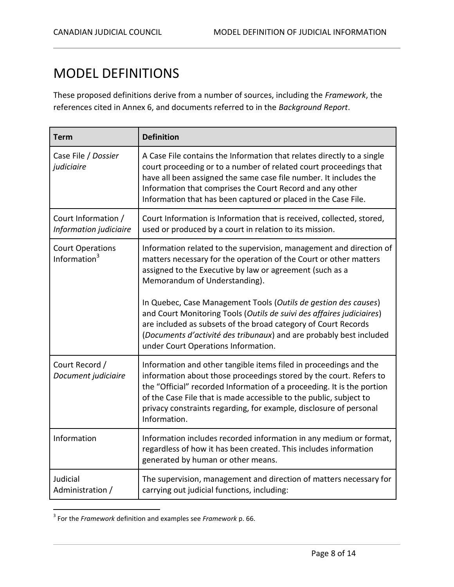# <span id="page-7-0"></span>MODEL DEFINITIONS

These proposed definitions derive from a number of sources, including the *Framework*, the references cited in Annex 6, and documents referred to in the *Background Report*.

| <b>Term</b>                                         | <b>Definition</b>                                                                                                                                                                                                                                                                                                                                                             |
|-----------------------------------------------------|-------------------------------------------------------------------------------------------------------------------------------------------------------------------------------------------------------------------------------------------------------------------------------------------------------------------------------------------------------------------------------|
| Case File / Dossier<br>judiciaire                   | A Case File contains the Information that relates directly to a single<br>court proceeding or to a number of related court proceedings that<br>have all been assigned the same case file number. It includes the<br>Information that comprises the Court Record and any other<br>Information that has been captured or placed in the Case File.                               |
| Court Information /<br>Information judiciaire       | Court Information is Information that is received, collected, stored,<br>used or produced by a court in relation to its mission.                                                                                                                                                                                                                                              |
| <b>Court Operations</b><br>Information <sup>3</sup> | Information related to the supervision, management and direction of<br>matters necessary for the operation of the Court or other matters<br>assigned to the Executive by law or agreement (such as a<br>Memorandum of Understanding).                                                                                                                                         |
|                                                     | In Quebec, Case Management Tools (Outils de gestion des causes)<br>and Court Monitoring Tools (Outils de suivi des affaires judiciaires)<br>are included as subsets of the broad category of Court Records<br>(Documents d'activité des tribunaux) and are probably best included<br>under Court Operations Information.                                                      |
| Court Record /<br>Document judiciaire               | Information and other tangible items filed in proceedings and the<br>information about those proceedings stored by the court. Refers to<br>the "Official" recorded Information of a proceeding. It is the portion<br>of the Case File that is made accessible to the public, subject to<br>privacy constraints regarding, for example, disclosure of personal<br>Information. |
| Information                                         | Information includes recorded information in any medium or format,<br>regardless of how it has been created. This includes information<br>generated by human or other means.                                                                                                                                                                                                  |
| Judicial<br>Administration /                        | The supervision, management and direction of matters necessary for<br>carrying out judicial functions, including:                                                                                                                                                                                                                                                             |

 3 For the *Framework* definition and examples see *Framework* p. 66.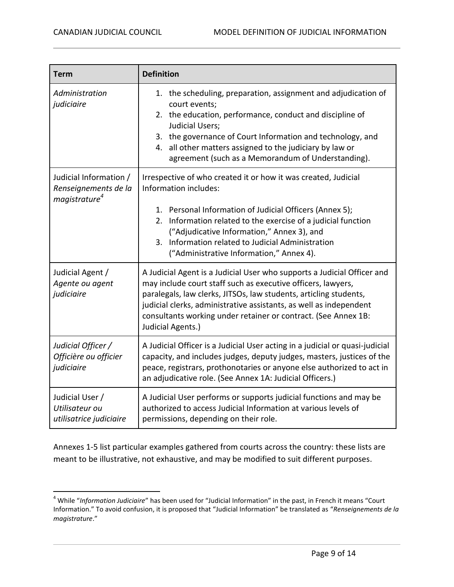$\overline{a}$ 

| <b>Term</b>                                                           | <b>Definition</b>                                                                                                                                                                                                                                                                                                                                                         |  |
|-----------------------------------------------------------------------|---------------------------------------------------------------------------------------------------------------------------------------------------------------------------------------------------------------------------------------------------------------------------------------------------------------------------------------------------------------------------|--|
| Administration<br>judiciaire                                          | 1. the scheduling, preparation, assignment and adjudication of<br>court events;<br>2. the education, performance, conduct and discipline of<br>Judicial Users;<br>3. the governance of Court Information and technology, and<br>all other matters assigned to the judiciary by law or<br>4.<br>agreement (such as a Memorandum of Understanding).                         |  |
| Judicial Information /<br>Renseignements de la<br>$mag$ istrature $4$ | Irrespective of who created it or how it was created, Judicial<br>Information includes:<br>1. Personal Information of Judicial Officers (Annex 5);<br>Information related to the exercise of a judicial function<br>2.<br>("Adjudicative Information," Annex 3), and<br>3. Information related to Judicial Administration<br>("Administrative Information," Annex 4).     |  |
| Judicial Agent /<br>Agente ou agent<br>judiciaire                     | A Judicial Agent is a Judicial User who supports a Judicial Officer and<br>may include court staff such as executive officers, lawyers,<br>paralegals, law clerks, JITSOs, law students, articling students,<br>judicial clerks, administrative assistants, as well as independent<br>consultants working under retainer or contract. (See Annex 1B:<br>Judicial Agents.) |  |
| Judicial Officer /<br>Officière ou officier<br>judiciaire             | A Judicial Officer is a Judicial User acting in a judicial or quasi-judicial<br>capacity, and includes judges, deputy judges, masters, justices of the<br>peace, registrars, prothonotaries or anyone else authorized to act in<br>an adjudicative role. (See Annex 1A: Judicial Officers.)                                                                               |  |
| Judicial User /<br>Utilisateur ou<br>utilisatrice judiciaire          | A Judicial User performs or supports judicial functions and may be<br>authorized to access Judicial Information at various levels of<br>permissions, depending on their role.                                                                                                                                                                                             |  |

Annexes 1-5 list particular examples gathered from courts across the country: these lists are meant to be illustrative, not exhaustive, and may be modified to suit different purposes.

<sup>4</sup> While "*Information Judiciaire*" has been used for "Judicial Information" in the past, in French it means "Court Information." To avoid confusion, it is proposed that "Judicial Information" be translated as "*Renseignements de la magistrature*."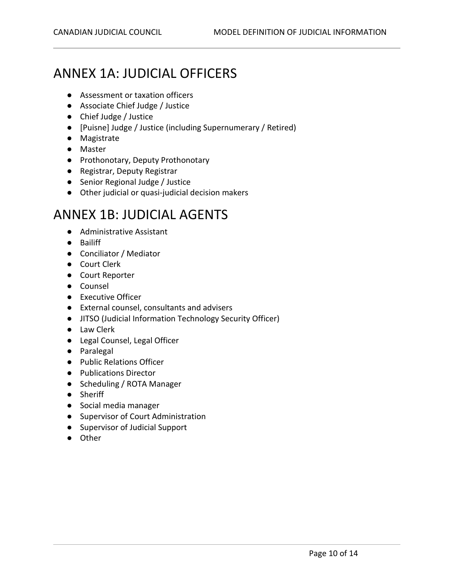# <span id="page-9-0"></span>ANNEX 1A: JUDICIAL OFFICERS

- Assessment or taxation officers
- Associate Chief Judge / Justice
- Chief Judge / Justice
- [Puisne] Judge / Justice (including Supernumerary / Retired)
- Magistrate
- Master
- Prothonotary, Deputy Prothonotary
- Registrar, Deputy Registrar
- Senior Regional Judge / Justice
- Other judicial or quasi-judicial decision makers

#### <span id="page-9-1"></span>ANNEX 1B: JUDICIAL AGENTS

- Administrative Assistant
- Bailiff
- Conciliator / Mediator
- Court Clerk
- Court Reporter
- Counsel
- Executive Officer
- External counsel, consultants and advisers
- JITSO (Judicial Information Technology Security Officer)
- Law Clerk
- Legal Counsel, Legal Officer
- Paralegal
- Public Relations Officer
- Publications Director
- Scheduling / ROTA Manager
- Sheriff
- Social media manager
- Supervisor of Court Administration
- Supervisor of Judicial Support
- Other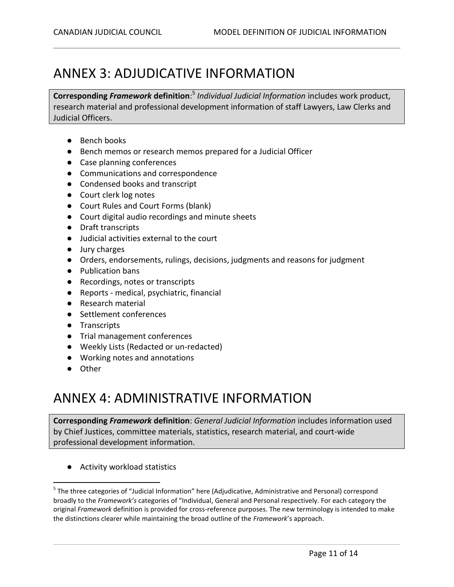#### <span id="page-10-0"></span>ANNEX 3: ADJUDICATIVE INFORMATION

**Corresponding** *Framework* **definition**: 5 *Individual Judicial Information* includes work product, research material and professional development information of staff Lawyers, Law Clerks and Judicial Officers.

- Bench books
- Bench memos or research memos prepared for a Judicial Officer
- Case planning conferences
- Communications and correspondence
- Condensed books and transcript
- Court clerk log notes
- Court Rules and Court Forms (blank)
- Court digital audio recordings and minute sheets
- Draft transcripts
- Judicial activities external to the court
- Jury charges
- Orders, endorsements, rulings, decisions, judgments and reasons for judgment
- Publication bans
- Recordings, notes or transcripts
- Reports medical, psychiatric, financial
- Research material
- Settlement conferences
- Transcripts
- Trial management conferences
- Weekly Lists (Redacted or un-redacted)
- Working notes and annotations
- Other

 $\overline{a}$ 

#### <span id="page-10-1"></span>ANNEX 4: ADMINISTRATIVE INFORMATION

**Corresponding** *Framework* **definition**: *General Judicial Information* includes information used by Chief Justices, committee materials, statistics, research material, and court-wide professional development information.

● Activity workload statistics

<sup>&</sup>lt;sup>5</sup> The three categories of "Judicial Information" here (Adjudicative, Administrative and Personal) correspond broadly to the *Framework's* categories of "Individual, General and Personal respectively. For each category the original *Framework* definition is provided for cross-reference purposes. The new terminology is intended to make the distinctions clearer while maintaining the broad outline of the *Framework*'s approach.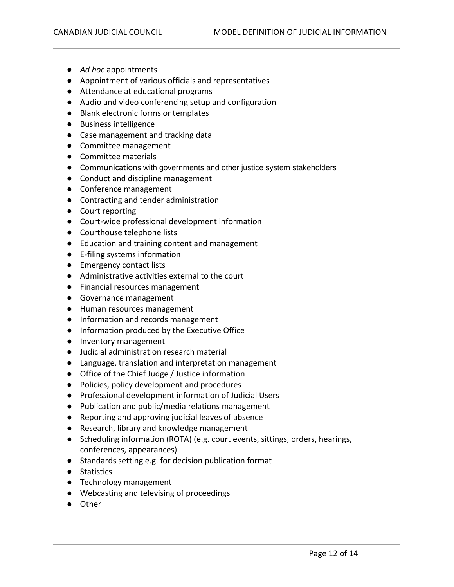- *Ad hoc* appointments
- Appointment of various officials and representatives
- Attendance at educational programs
- Audio and video conferencing setup and configuration
- Blank electronic forms or templates
- Business intelligence
- Case management and tracking data
- Committee management
- Committee materials
- Communications with governments and other justice system stakeholders
- Conduct and discipline management
- Conference management
- Contracting and tender administration
- Court reporting
- Court-wide professional development information
- Courthouse telephone lists
- Education and training content and management
- E-filing systems information
- Emergency contact lists
- Administrative activities external to the court
- Financial resources management
- Governance management
- Human resources management
- Information and records management
- Information produced by the Executive Office
- Inventory management
- Judicial administration research material
- Language, translation and interpretation management
- Office of the Chief Judge / Justice information
- Policies, policy development and procedures
- Professional development information of Judicial Users
- Publication and public/media relations management
- Reporting and approving judicial leaves of absence
- Research, library and knowledge management
- Scheduling information (ROTA) (e.g. court events, sittings, orders, hearings, conferences, appearances)
- Standards setting e.g. for decision publication format
- Statistics
- Technology management
- Webcasting and televising of proceedings
- Other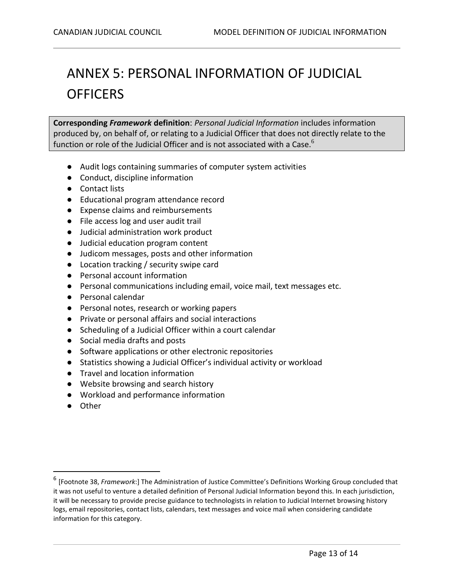# <span id="page-12-0"></span>ANNEX 5: PERSONAL INFORMATION OF JUDICIAL **OFFICERS**

**Corresponding** *Framework* **definition**: *Personal Judicial Information* includes information produced by, on behalf of, or relating to a Judicial Officer that does not directly relate to the function or role of the Judicial Officer and is not associated with a Case. $^6$ 

- Audit logs containing summaries of computer system activities
- Conduct, discipline information
- Contact lists
- Educational program attendance record
- Expense claims and reimbursements
- File access log and user audit trail
- Judicial administration work product
- Judicial education program content
- Judicom messages, posts and other information
- Location tracking / security swipe card
- Personal account information
- Personal communications including email, voice mail, text messages etc.
- Personal calendar
- Personal notes, research or working papers
- Private or personal affairs and social interactions
- Scheduling of a Judicial Officer within a court calendar
- Social media drafts and posts
- Software applications or other electronic repositories
- Statistics showing a Judicial Officer's individual activity or workload
- Travel and location information
- Website browsing and search history
- Workload and performance information
- Other

 $\overline{a}$ 

<sup>6</sup> [Footnote 38, *Framework*:] The Administration of Justice Committee's Definitions Working Group concluded that it was not useful to venture a detailed definition of Personal Judicial Information beyond this. In each jurisdiction, it will be necessary to provide precise guidance to technologists in relation to Judicial Internet browsing history logs, email repositories, contact lists, calendars, text messages and voice mail when considering candidate information for this category.